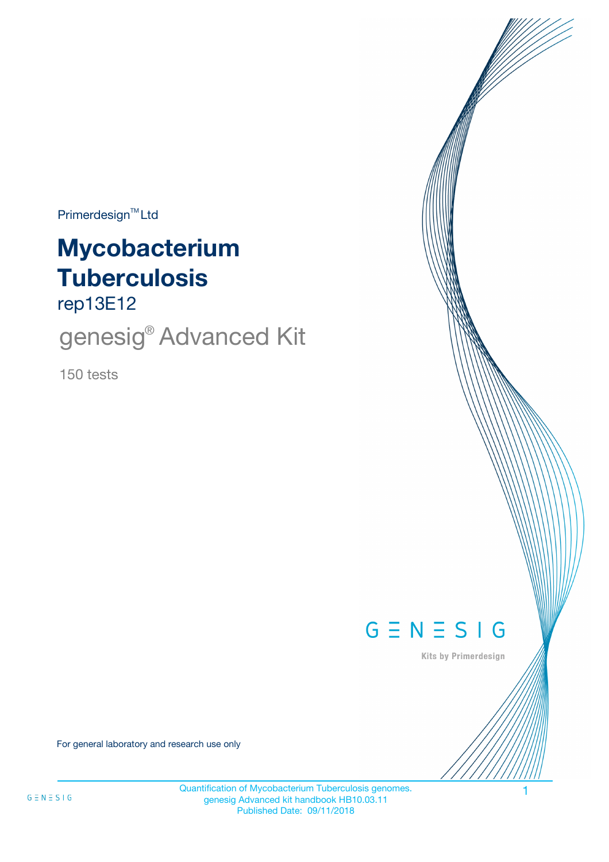$Primerdesign^{\text{TM}}$ Ltd

# **Mycobacterium Tuberculosis**

rep13E12

genesig<sup>®</sup> Advanced Kit

150 tests



Kits by Primerdesign

For general laboratory and research use only

Quantification of Mycobacterium Tuberculosis genomes. genesig Advanced kit handbook HB10.03.11 Published Date: 09/11/2018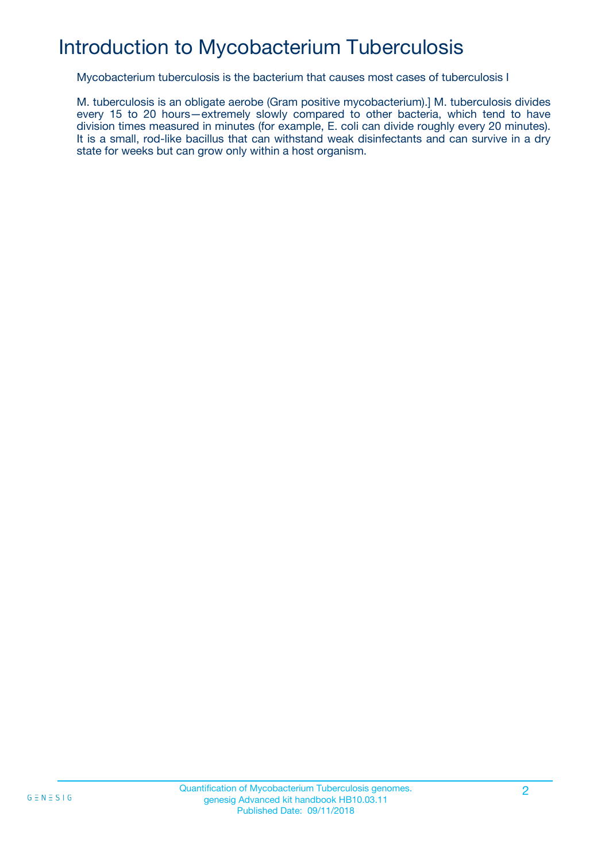# Introduction to Mycobacterium Tuberculosis

Mycobacterium tuberculosis is the bacterium that causes most cases of tuberculosis I

M. tuberculosis is an obligate aerobe (Gram positive mycobacterium).] M. tuberculosis divides every 15 to 20 hours—extremely slowly compared to other bacteria, which tend to have division times measured in minutes (for example, E. coli can divide roughly every 20 minutes). It is a small, rod-like bacillus that can withstand weak disinfectants and can survive in a dry state for weeks but can grow only within a host organism.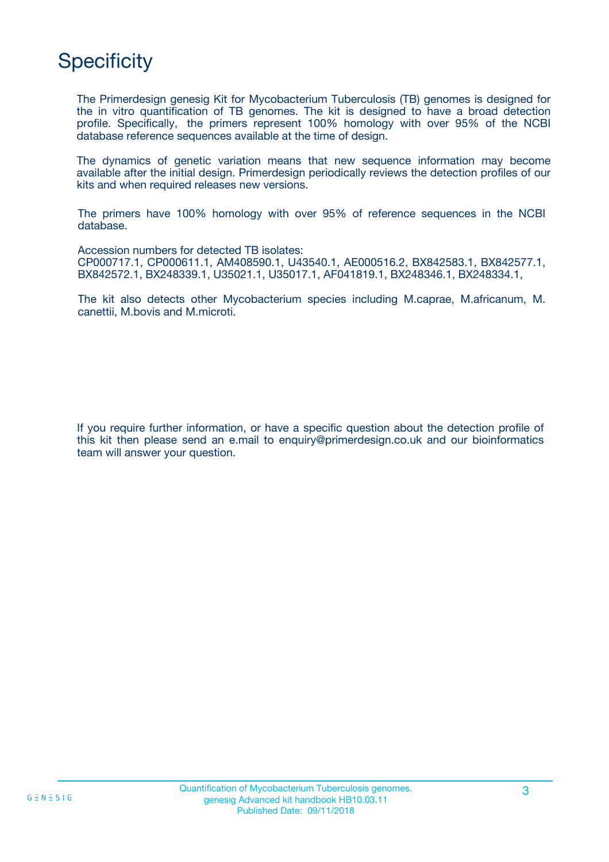# **Specificity**

The Primerdesign genesig Kit for Mycobacterium Tuberculosis (TB) genomes is designed for the in vitro quantification of TB genomes. The kit is designed to have a broad detection profile. Specifically, the primers represent 100% homology with over 95% of the NCBI database reference sequences available at the time of design.

The dynamics of genetic variation means that new sequence information may become available after the initial design. Primerdesign periodically reviews the detection profiles of our kits and when required releases new versions.

The primers have 100% homology with over 95% of reference sequences in the NCBI database.

Accession numbers for detected TB isolates: CP000717.1, CP000611.1, AM408590.1, U43540.1, AE000516.2, BX842583.1, BX842577.1, BX842572.1, BX248339.1, U35021.1, U35017.1, AF041819.1, BX248346.1, BX248334.1,

The kit also detects other Mycobacterium species including M.caprae, M.africanum, M. canettii, M.bovis and M.microti.

If you require further information, or have a specific question about the detection profile of this kit then please send an e.mail to enquiry@primerdesign.co.uk and our bioinformatics team will answer your question.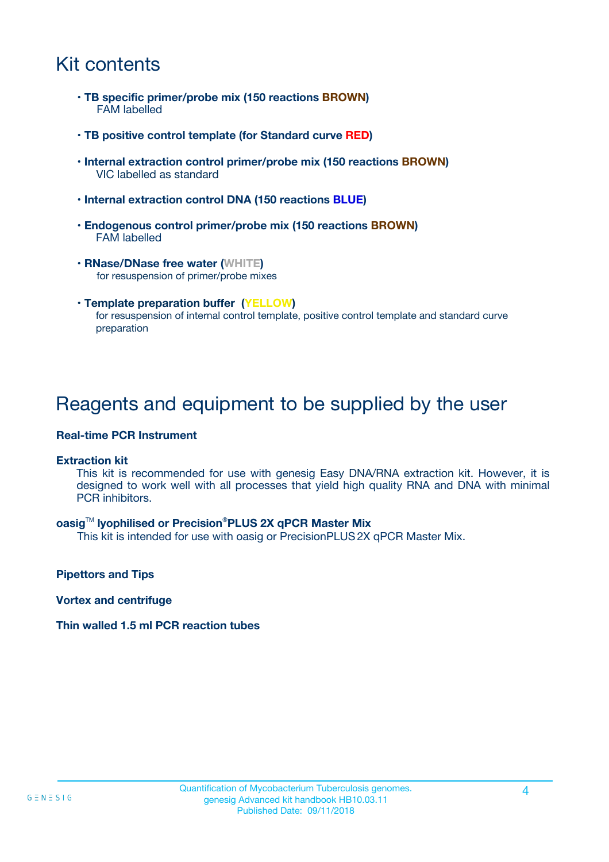# Kit contents

- **TB specific primer/probe mix (150 reactions BROWN)** FAM labelled
- **TB positive control template (for Standard curve RED)**
- **Internal extraction control primer/probe mix (150 reactions BROWN)** VIC labelled as standard
- **Internal extraction control DNA (150 reactions BLUE)**
- **Endogenous control primer/probe mix (150 reactions BROWN)** FAM labelled
- **RNase/DNase free water (WHITE)** for resuspension of primer/probe mixes
- **Template preparation buffer (YELLOW)** for resuspension of internal control template, positive control template and standard curve preparation

## Reagents and equipment to be supplied by the user

#### **Real-time PCR Instrument**

#### **Extraction kit**

This kit is recommended for use with genesig Easy DNA/RNA extraction kit. However, it is designed to work well with all processes that yield high quality RNA and DNA with minimal PCR inhibitors.

#### **oasig**TM **lyophilised or Precision**®**PLUS 2X qPCR Master Mix**

This kit is intended for use with oasig or PrecisionPLUS2X qPCR Master Mix.

**Pipettors and Tips**

**Vortex and centrifuge**

#### **Thin walled 1.5 ml PCR reaction tubes**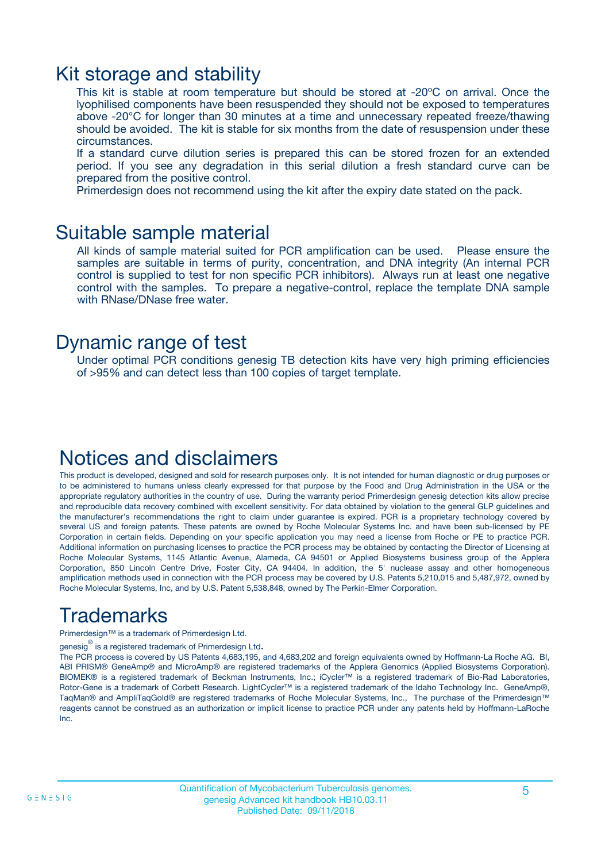### Kit storage and stability

This kit is stable at room temperature but should be stored at -20ºC on arrival. Once the lyophilised components have been resuspended they should not be exposed to temperatures above -20°C for longer than 30 minutes at a time and unnecessary repeated freeze/thawing should be avoided. The kit is stable for six months from the date of resuspension under these circumstances.

If a standard curve dilution series is prepared this can be stored frozen for an extended period. If you see any degradation in this serial dilution a fresh standard curve can be prepared from the positive control.

Primerdesign does not recommend using the kit after the expiry date stated on the pack.

### Suitable sample material

All kinds of sample material suited for PCR amplification can be used. Please ensure the samples are suitable in terms of purity, concentration, and DNA integrity (An internal PCR control is supplied to test for non specific PCR inhibitors). Always run at least one negative control with the samples. To prepare a negative-control, replace the template DNA sample with RNase/DNase free water.

### Dynamic range of test

Under optimal PCR conditions genesig TB detection kits have very high priming efficiencies of >95% and can detect less than 100 copies of target template.

### Notices and disclaimers

This product is developed, designed and sold for research purposes only. It is not intended for human diagnostic or drug purposes or to be administered to humans unless clearly expressed for that purpose by the Food and Drug Administration in the USA or the appropriate regulatory authorities in the country of use. During the warranty period Primerdesign genesig detection kits allow precise and reproducible data recovery combined with excellent sensitivity. For data obtained by violation to the general GLP guidelines and the manufacturer's recommendations the right to claim under guarantee is expired. PCR is a proprietary technology covered by several US and foreign patents. These patents are owned by Roche Molecular Systems Inc. and have been sub-licensed by PE Corporation in certain fields. Depending on your specific application you may need a license from Roche or PE to practice PCR. Additional information on purchasing licenses to practice the PCR process may be obtained by contacting the Director of Licensing at Roche Molecular Systems, 1145 Atlantic Avenue, Alameda, CA 94501 or Applied Biosystems business group of the Applera Corporation, 850 Lincoln Centre Drive, Foster City, CA 94404. In addition, the 5' nuclease assay and other homogeneous amplification methods used in connection with the PCR process may be covered by U.S. Patents 5,210,015 and 5,487,972, owned by Roche Molecular Systems, Inc, and by U.S. Patent 5,538,848, owned by The Perkin-Elmer Corporation.

# Trademarks

Primerdesign™ is a trademark of Primerdesign Ltd.

genesig $^\circledR$  is a registered trademark of Primerdesign Ltd.

The PCR process is covered by US Patents 4,683,195, and 4,683,202 and foreign equivalents owned by Hoffmann-La Roche AG. BI, ABI PRISM® GeneAmp® and MicroAmp® are registered trademarks of the Applera Genomics (Applied Biosystems Corporation). BIOMEK® is a registered trademark of Beckman Instruments, Inc.; iCycler™ is a registered trademark of Bio-Rad Laboratories, Rotor-Gene is a trademark of Corbett Research. LightCycler™ is a registered trademark of the Idaho Technology Inc. GeneAmp®, TaqMan® and AmpliTaqGold® are registered trademarks of Roche Molecular Systems, Inc., The purchase of the Primerdesign™ reagents cannot be construed as an authorization or implicit license to practice PCR under any patents held by Hoffmann-LaRoche Inc.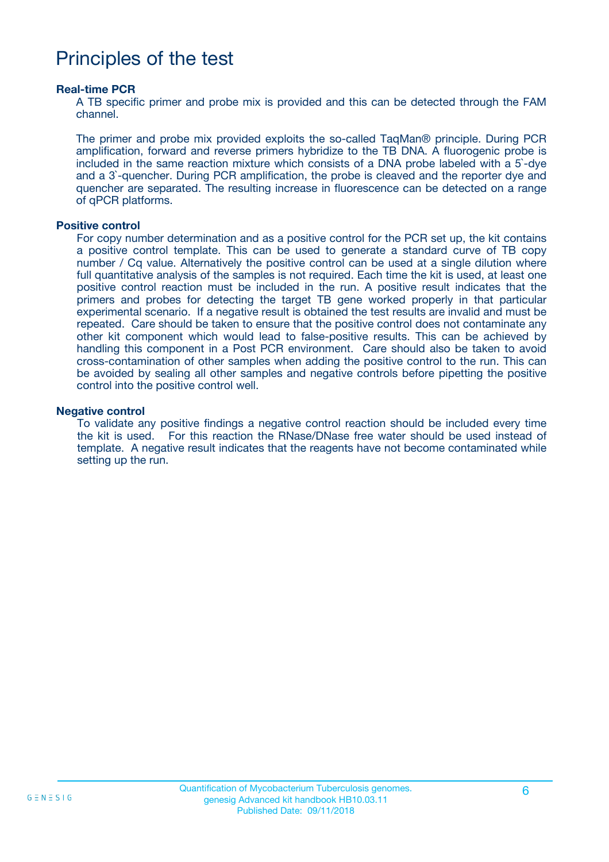## Principles of the test

#### **Real-time PCR**

A TB specific primer and probe mix is provided and this can be detected through the FAM channel.

The primer and probe mix provided exploits the so-called TaqMan® principle. During PCR amplification, forward and reverse primers hybridize to the TB DNA. A fluorogenic probe is included in the same reaction mixture which consists of a DNA probe labeled with a 5`-dye and a 3`-quencher. During PCR amplification, the probe is cleaved and the reporter dye and quencher are separated. The resulting increase in fluorescence can be detected on a range of qPCR platforms.

#### **Positive control**

For copy number determination and as a positive control for the PCR set up, the kit contains a positive control template. This can be used to generate a standard curve of TB copy number / Cq value. Alternatively the positive control can be used at a single dilution where full quantitative analysis of the samples is not required. Each time the kit is used, at least one positive control reaction must be included in the run. A positive result indicates that the primers and probes for detecting the target TB gene worked properly in that particular experimental scenario. If a negative result is obtained the test results are invalid and must be repeated. Care should be taken to ensure that the positive control does not contaminate any other kit component which would lead to false-positive results. This can be achieved by handling this component in a Post PCR environment. Care should also be taken to avoid cross-contamination of other samples when adding the positive control to the run. This can be avoided by sealing all other samples and negative controls before pipetting the positive control into the positive control well.

#### **Negative control**

To validate any positive findings a negative control reaction should be included every time the kit is used. For this reaction the RNase/DNase free water should be used instead of template. A negative result indicates that the reagents have not become contaminated while setting up the run.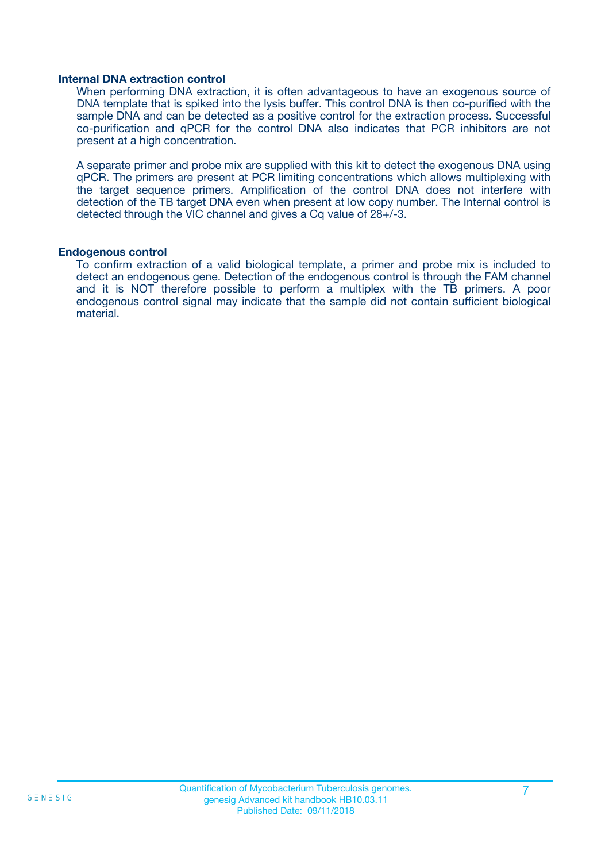#### **Internal DNA extraction control**

When performing DNA extraction, it is often advantageous to have an exogenous source of DNA template that is spiked into the lysis buffer. This control DNA is then co-purified with the sample DNA and can be detected as a positive control for the extraction process. Successful co-purification and qPCR for the control DNA also indicates that PCR inhibitors are not present at a high concentration.

A separate primer and probe mix are supplied with this kit to detect the exogenous DNA using qPCR. The primers are present at PCR limiting concentrations which allows multiplexing with the target sequence primers. Amplification of the control DNA does not interfere with detection of the TB target DNA even when present at low copy number. The Internal control is detected through the VIC channel and gives a Cq value of 28+/-3.

#### **Endogenous control**

To confirm extraction of a valid biological template, a primer and probe mix is included to detect an endogenous gene. Detection of the endogenous control is through the FAM channel and it is NOT therefore possible to perform a multiplex with the TB primers. A poor endogenous control signal may indicate that the sample did not contain sufficient biological material.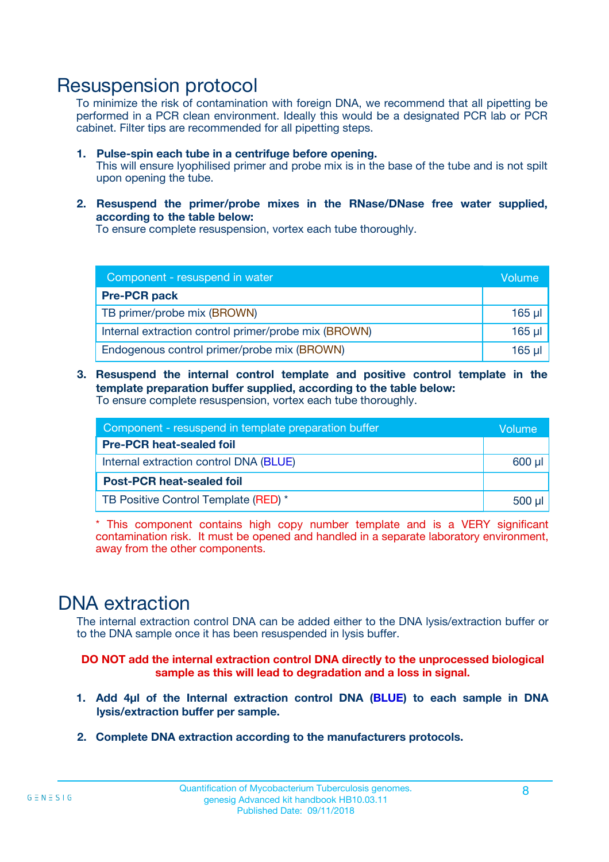### Resuspension protocol

To minimize the risk of contamination with foreign DNA, we recommend that all pipetting be performed in a PCR clean environment. Ideally this would be a designated PCR lab or PCR cabinet. Filter tips are recommended for all pipetting steps.

- **1. Pulse-spin each tube in a centrifuge before opening.** This will ensure lyophilised primer and probe mix is in the base of the tube and is not spilt upon opening the tube.
- **2. Resuspend the primer/probe mixes in the RNase/DNase free water supplied, according to the table below:**

To ensure complete resuspension, vortex each tube thoroughly.

| Component - resuspend in water                       |         |  |
|------------------------------------------------------|---------|--|
| <b>Pre-PCR pack</b>                                  |         |  |
| TB primer/probe mix (BROWN)                          | $165$ µ |  |
| Internal extraction control primer/probe mix (BROWN) | $165$ µ |  |
| Endogenous control primer/probe mix (BROWN)          | 165 µl  |  |

**3. Resuspend the internal control template and positive control template in the template preparation buffer supplied, according to the table below:** To ensure complete resuspension, vortex each tube thoroughly.

| Component - resuspend in template preparation buffer |          |  |
|------------------------------------------------------|----------|--|
| <b>Pre-PCR heat-sealed foil</b>                      |          |  |
| Internal extraction control DNA (BLUE)               |          |  |
| <b>Post-PCR heat-sealed foil</b>                     |          |  |
| TB Positive Control Template (RED) *                 | $500$ µl |  |

\* This component contains high copy number template and is a VERY significant contamination risk. It must be opened and handled in a separate laboratory environment, away from the other components.

### DNA extraction

The internal extraction control DNA can be added either to the DNA lysis/extraction buffer or to the DNA sample once it has been resuspended in lysis buffer.

**DO NOT add the internal extraction control DNA directly to the unprocessed biological sample as this will lead to degradation and a loss in signal.**

- **1. Add 4µl of the Internal extraction control DNA (BLUE) to each sample in DNA lysis/extraction buffer per sample.**
- **2. Complete DNA extraction according to the manufacturers protocols.**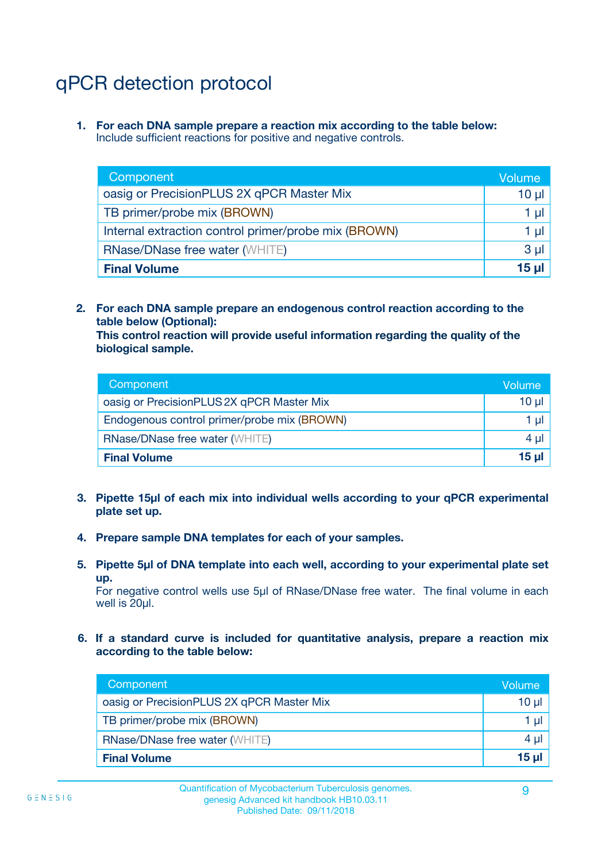# qPCR detection protocol

**1. For each DNA sample prepare a reaction mix according to the table below:** Include sufficient reactions for positive and negative controls.

| Component                                            | Volume   |
|------------------------------------------------------|----------|
| oasig or PrecisionPLUS 2X qPCR Master Mix            | $10 \mu$ |
| TB primer/probe mix (BROWN)                          | 1 µI     |
| Internal extraction control primer/probe mix (BROWN) | 1 µl     |
| <b>RNase/DNase free water (WHITE)</b>                | $3 \mu$  |
| <b>Final Volume</b>                                  | 15 µl    |

**2. For each DNA sample prepare an endogenous control reaction according to the table below (Optional):**

**This control reaction will provide useful information regarding the quality of the biological sample.**

| Component                                   | Volume          |
|---------------------------------------------|-----------------|
| oasig or PrecisionPLUS 2X qPCR Master Mix   | $10 \mu$        |
| Endogenous control primer/probe mix (BROWN) | 1 µI            |
| <b>RNase/DNase free water (WHITE)</b>       | 4 µl            |
| <b>Final Volume</b>                         | 15 <sub>µ</sub> |

- **3. Pipette 15µl of each mix into individual wells according to your qPCR experimental plate set up.**
- **4. Prepare sample DNA templates for each of your samples.**
- **5. Pipette 5µl of DNA template into each well, according to your experimental plate set up.**

For negative control wells use 5µl of RNase/DNase free water. The final volume in each well is 20ul.

**6. If a standard curve is included for quantitative analysis, prepare a reaction mix according to the table below:**

| Component                                 | Volume          |
|-------------------------------------------|-----------------|
| oasig or PrecisionPLUS 2X qPCR Master Mix | 10 µl           |
| TB primer/probe mix (BROWN)               | 1 µI I          |
| <b>RNase/DNase free water (WHITE)</b>     | $4 \mu$         |
| <b>Final Volume</b>                       | 15 <sub>µ</sub> |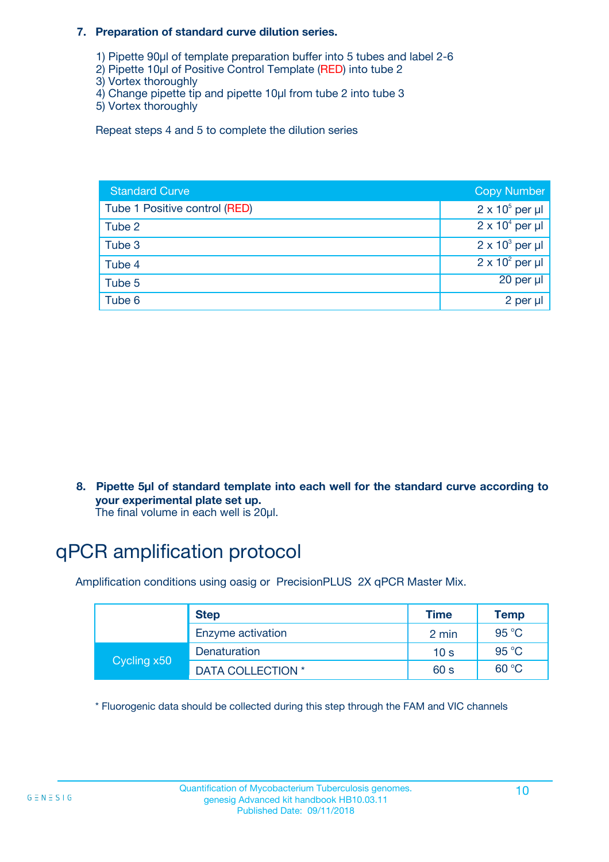#### **7. Preparation of standard curve dilution series.**

- 1) Pipette 90µl of template preparation buffer into 5 tubes and label 2-6
- 2) Pipette 10µl of Positive Control Template (RED) into tube 2
- 3) Vortex thoroughly
- 4) Change pipette tip and pipette 10µl from tube 2 into tube 3
- 5) Vortex thoroughly

Repeat steps 4 and 5 to complete the dilution series

| <b>Standard Curve</b>         | <b>Copy Number</b>     |
|-------------------------------|------------------------|
| Tube 1 Positive control (RED) | $2 \times 10^5$ per µl |
| Tube 2                        | $2 \times 10^4$ per µl |
| Tube 3                        | $2 \times 10^3$ per µl |
| Tube 4                        | $2 \times 10^2$ per µl |
| Tube 5                        | $20$ per $\mu$         |
| Tube 6                        | 2 per µl               |

**8. Pipette 5µl of standard template into each well for the standard curve according to your experimental plate set up.**

#### The final volume in each well is 20µl.

# qPCR amplification protocol

Amplification conditions using oasig or PrecisionPLUS 2X qPCR Master Mix.

|             | <b>Step</b>       | <b>Time</b>     | Temp    |
|-------------|-------------------|-----------------|---------|
|             | Enzyme activation | 2 min           | 95 °C   |
| Cycling x50 | Denaturation      | 10 <sub>s</sub> | 95 $°C$ |
|             | DATA COLLECTION * | 60 s            | 60 °C   |

\* Fluorogenic data should be collected during this step through the FAM and VIC channels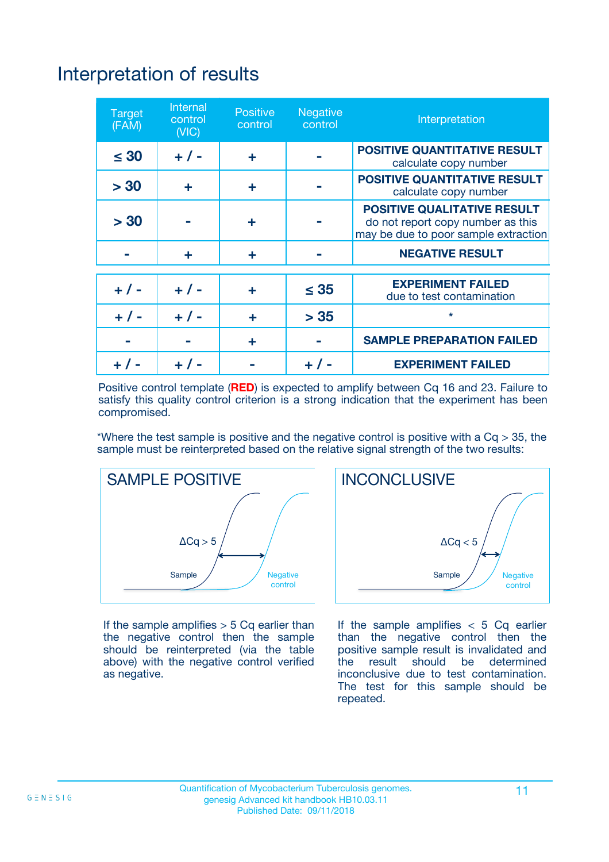# Interpretation of results

| <b>Target</b><br>(FAM) | <b>Internal</b><br>control<br>(NIC) | <b>Positive</b><br>control | <b>Negative</b><br>control | Interpretation                                                                                                  |
|------------------------|-------------------------------------|----------------------------|----------------------------|-----------------------------------------------------------------------------------------------------------------|
| $\leq 30$              | $+ 1 -$                             | ÷                          |                            | <b>POSITIVE QUANTITATIVE RESULT</b><br>calculate copy number                                                    |
| > 30                   | ٠                                   | ÷                          |                            | <b>POSITIVE QUANTITATIVE RESULT</b><br>calculate copy number                                                    |
| > 30                   |                                     | ÷                          |                            | <b>POSITIVE QUALITATIVE RESULT</b><br>do not report copy number as this<br>may be due to poor sample extraction |
|                        | ÷                                   | ÷                          |                            | <b>NEGATIVE RESULT</b>                                                                                          |
| $+ 1 -$                | $+ 1 -$                             | ÷                          | $\leq$ 35                  | <b>EXPERIMENT FAILED</b><br>due to test contamination                                                           |
| $+$ / -                | $+ 1 -$                             | ÷                          | > 35                       | $\star$                                                                                                         |
|                        |                                     | ÷                          |                            | <b>SAMPLE PREPARATION FAILED</b>                                                                                |
|                        |                                     |                            | $+$ /                      | <b>EXPERIMENT FAILED</b>                                                                                        |

Positive control template (**RED**) is expected to amplify between Cq 16 and 23. Failure to satisfy this quality control criterion is a strong indication that the experiment has been compromised.

\*Where the test sample is positive and the negative control is positive with a  $Ca > 35$ , the sample must be reinterpreted based on the relative signal strength of the two results:



If the sample amplifies  $> 5$  Cq earlier than the negative control then the sample should be reinterpreted (via the table above) with the negative control verified as negative.



If the sample amplifies  $< 5$  Cq earlier than the negative control then the positive sample result is invalidated and<br>the result should be determined  $the$  result should be inconclusive due to test contamination. The test for this sample should be repeated.